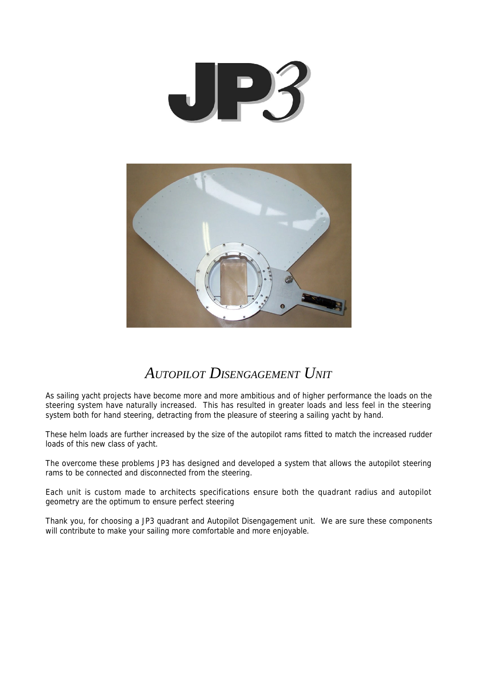

# *AUTOPILOT DISENGAGEMENT UNIT*

As sailing yacht projects have become more and more ambitious and of higher performance the loads on the steering system have naturally increased. This has resulted in greater loads and less feel in the steering system both for hand steering, detracting from the pleasure of steering a sailing yacht by hand.

These helm loads are further increased by the size of the autopilot rams fitted to match the increased rudder loads of this new class of yacht.

The overcome these problems JP3 has designed and developed a system that allows the autopilot steering rams to be connected and disconnected from the steering.

Each unit is custom made to architects specifications ensure both the quadrant radius and autopilot geometry are the optimum to ensure perfect steering

Thank you, for choosing a JP3 quadrant and Autopilot Disengagement unit. We are sure these components will contribute to make your sailing more comfortable and more enjoyable.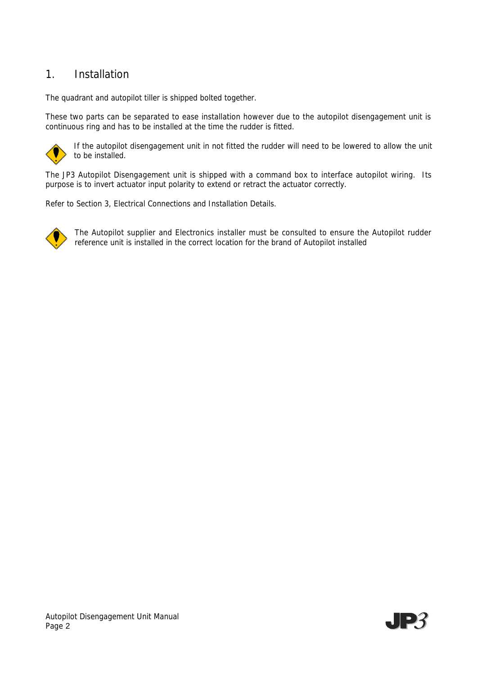## 1. Installation

The quadrant and autopilot tiller is shipped bolted together.

These two parts can be separated to ease installation however due to the autopilot disengagement unit is continuous ring and has to be installed at the time the rudder is fitted.



If the autopilot disengagement unit in not fitted the rudder will need to be lowered to allow the unit to be installed.

The JP3 Autopilot Disengagement unit is shipped with a command box to interface autopilot wiring. Its purpose is to invert actuator input polarity to extend or retract the actuator correctly.

Refer to Section 3, Electrical Connections and Installation Details.



The Autopilot supplier and Electronics installer must be consulted to ensure the Autopilot rudder reference unit is installed in the correct location for the brand of Autopilot installed

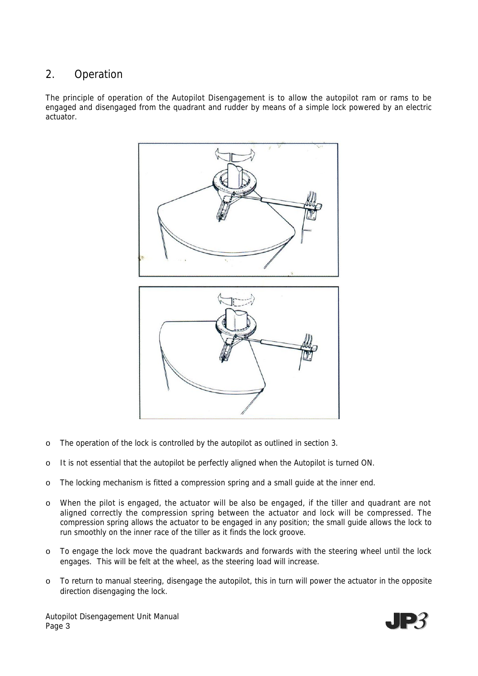## 2. Operation

The principle of operation of the Autopilot Disengagement is to allow the autopilot ram or rams to be engaged and disengaged from the quadrant and rudder by means of a simple lock powered by an electric actuator.



- o The operation of the lock is controlled by the autopilot as outlined in section 3.
- o It is not essential that the autopilot be perfectly aligned when the Autopilot is turned ON.
- o The locking mechanism is fitted a compression spring and a small guide at the inner end.
- o When the pilot is engaged, the actuator will be also be engaged, if the tiller and quadrant are not aligned correctly the compression spring between the actuator and lock will be compressed. The compression spring allows the actuator to be engaged in any position; the small guide allows the lock to run smoothly on the inner race of the tiller as it finds the lock groove.
- o To engage the lock move the quadrant backwards and forwards with the steering wheel until the lock engages. This will be felt at the wheel, as the steering load will increase.
- o To return to manual steering, disengage the autopilot, this in turn will power the actuator in the opposite direction disengaging the lock.

Autopilot Disengagement Unit Manual Page 3

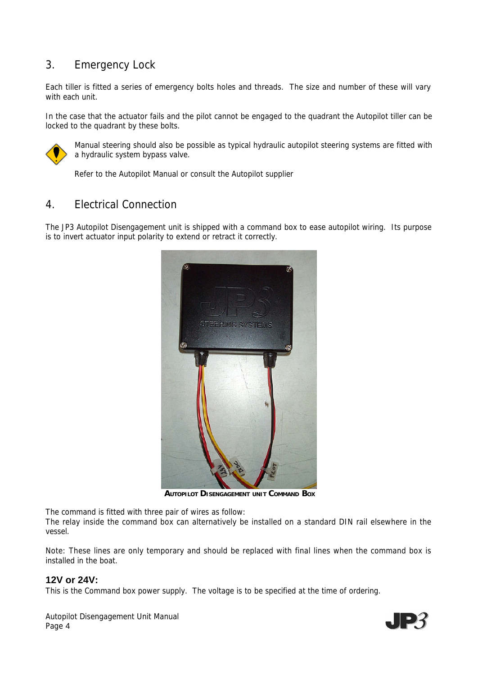## 3. Emergency Lock

Each tiller is fitted a series of emergency bolts holes and threads. The size and number of these will vary with each unit.

In the case that the actuator fails and the pilot cannot be engaged to the quadrant the Autopilot tiller can be locked to the quadrant by these bolts.



Manual steering should also be possible as typical hydraulic autopilot steering systems are fitted with a hydraulic system bypass valve.

Refer to the Autopilot Manual or consult the Autopilot supplier

## 4. Electrical Connection

The JP3 Autopilot Disengagement unit is shipped with a command box to ease autopilot wiring. Its purpose is to invert actuator input polarity to extend or retract it correctly.



**AUTOPILOT DISENGAGEMENT UNIT COMMAND BOX**

The command is fitted with three pair of wires as follow:

The relay inside the command box can alternatively be installed on a standard DIN rail elsewhere in the vessel.

Note: These lines are only temporary and should be replaced with final lines when the command box is installed in the boat.

#### **12V or 24V:**

This is the Command box power supply. The voltage is to be specified at the time of ordering.

Autopilot Disengagement Unit Manual Page 4

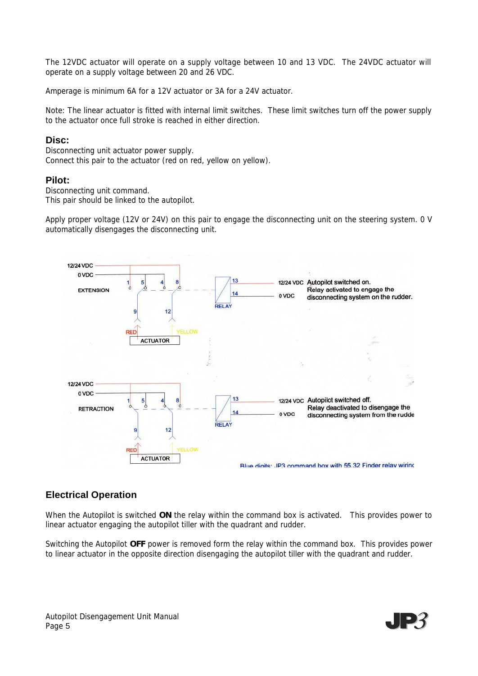The 12VDC actuator will operate on a supply voltage between 10 and 13 VDC. The 24VDC actuator will operate on a supply voltage between 20 and 26 VDC.

Amperage is minimum 6A for a 12V actuator or 3A for a 24V actuator.

Note: The linear actuator is fitted with internal limit switches. These limit switches turn off the power supply to the actuator once full stroke is reached in either direction.

#### **Disc:**

Disconnecting unit actuator power supply. Connect this pair to the actuator (red on red, yellow on yellow).

#### **Pilot:**

Disconnecting unit command. This pair should be linked to the autopilot.

Apply proper voltage (12V or 24V) on this pair to engage the disconnecting unit on the steering system. 0 V automatically disengages the disconnecting unit.



### **Electrical Operation**

When the Autopilot is switched **ON** the relay within the command box is activated. This provides power to linear actuator engaging the autopilot tiller with the quadrant and rudder.

Switching the Autopilot **OFF** power is removed form the relay within the command box. This provides power to linear actuator in the opposite direction disengaging the autopilot tiller with the quadrant and rudder.